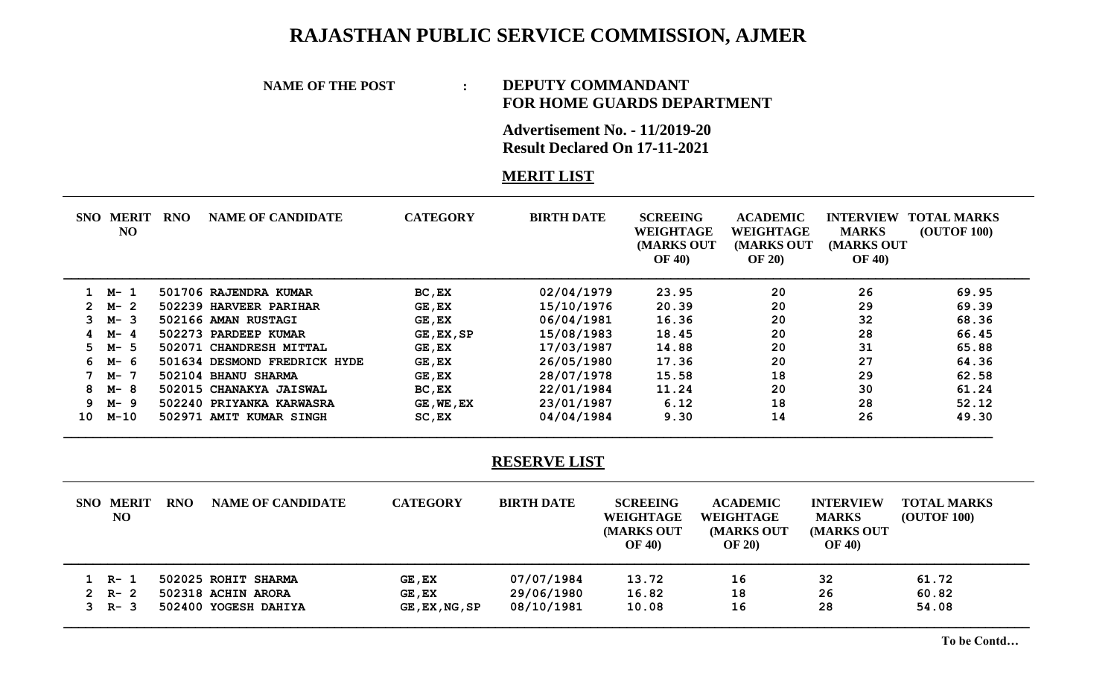## **RAJASTHAN PUBLIC SERVICE COMMISSION, AJMER**

### **NAME OF THE POST : DEPUTY COMMANDANT**

# **FOR HOME GUARDS DEPARTMENT**

**Advertisement No. - 11/2019-20 Result Declared On 17-11-2021**

### **MERIT LIST**

| SNO          |            | <b>MERIT</b><br>NO | RNO | <b>NAME OF CANDIDATE</b>     | <b>CATEGORY</b> | <b>BIRTH DATE</b> | <b>SCREEING</b><br>WEIGHTAGE<br>(MARKS OUT<br><b>OF 40)</b> | <b>ACADEMIC</b><br>WEIGHTAGE<br>(MARKS OUT<br><b>OF 20)</b> | <b>INTERVIEW</b><br><b>MARKS</b><br>(MARKS OUT<br><b>OF 40)</b> | <b>TOTAL MARKS</b><br><b>(OUTOF 100)</b> |
|--------------|------------|--------------------|-----|------------------------------|-----------------|-------------------|-------------------------------------------------------------|-------------------------------------------------------------|-----------------------------------------------------------------|------------------------------------------|
|              | $1 \, M-1$ |                    |     | 501706 RAJENDRA KUMAR        | $BC$ , $EX$     | 02/04/1979        | 23.95                                                       | 20                                                          | 26                                                              | 69.95                                    |
| $\mathbf{2}$ | M-2        |                    |     | 502239 HARVEER PARIHAR       | GE, EX          | 15/10/1976        | 20.39                                                       | 20                                                          | 29                                                              | 69.39                                    |
| 3            | M-3        |                    |     | 502166 AMAN RUSTAGI          | GE, EX          | 06/04/1981        | 16.36                                                       | 20                                                          | 32                                                              | 68.36                                    |
| 4            | M-         | -4                 |     | 502273 PARDEEP KUMAR         | GE, EX, SP      | 15/08/1983        | 18.45                                                       | 20                                                          | 28                                                              | 66.45                                    |
| 5.           | M-5        |                    |     | 502071 CHANDRESH MITTAL      | GE, EX          | 17/03/1987        | 14.88                                                       | 20                                                          | 31                                                              | 65.88                                    |
| 6.           | М-         | - 6                |     | 501634 DESMOND FREDRICK HYDE | $GE$ , $EX$     | 26/05/1980        | 17.36                                                       | 20                                                          | 27                                                              | 64.36                                    |
|              | M- 7       |                    |     | 502104 BHANU SHARMA          | $GE$ , $EX$     | 28/07/1978        | 15.58                                                       | 18                                                          | 29                                                              | 62.58                                    |
| 8            | M-8        |                    |     | 502015 CHANAKYA JAISWAL      | BC, EX          | 22/01/1984        | 11.24                                                       | 20                                                          | 30                                                              | 61.24                                    |
| 9.           | M-9        |                    |     | 502240 PRIYANKA KARWASRA     | GE, WE, EX      | 23/01/1987        | 6.12                                                        | 18                                                          | 28                                                              | 52.12                                    |
| 10           | $M-10$     |                    |     | 502971 AMIT KUMAR SINGH      | $SC$ , $EX$     | 04/04/1984        | 9.30                                                        | 14                                                          | 26                                                              | 49.30                                    |

#### **RESERVE LIST**

| <b>SNO MERIT</b><br>NO | <b>RNO</b> | <b>NAME OF CANDIDATE</b> | <b>CATEGORY</b>           | <b>BIRTH DATE</b> | <b>SCREEING</b><br>WEIGHTAGE<br><b>MARKS OUT</b><br><b>OF 40)</b> | <b>ACADEMIC</b><br>WEIGHTAGE<br><b>MARKS OUT</b><br><b>OF 20</b> | <b>INTERVIEW</b><br><b>MARKS</b><br>(MARKS OUT<br><b>OF 40)</b> | <b>TOTAL MARKS</b><br><b>(OUTOF 100)</b> |
|------------------------|------------|--------------------------|---------------------------|-------------------|-------------------------------------------------------------------|------------------------------------------------------------------|-----------------------------------------------------------------|------------------------------------------|
| $1 R - 1$              |            | 502025 ROHIT SHARMA      | GE, EX                    | 07/07/1984        | 13.72                                                             | 16                                                               | 32                                                              | 61.72                                    |
| $2 R - 2$              |            | 502318 ACHIN ARORA       | GE, EX                    | 29/06/1980        | 16.82                                                             | 18                                                               | 26                                                              | 60.82                                    |
| $3 \t R - 3$           |            | 502400 YOGESH DAHIYA     | $GE$ , $EX$ , $NG$ , $SP$ | 08/10/1981        | 10.08                                                             | 16                                                               | 28                                                              | 54.08                                    |